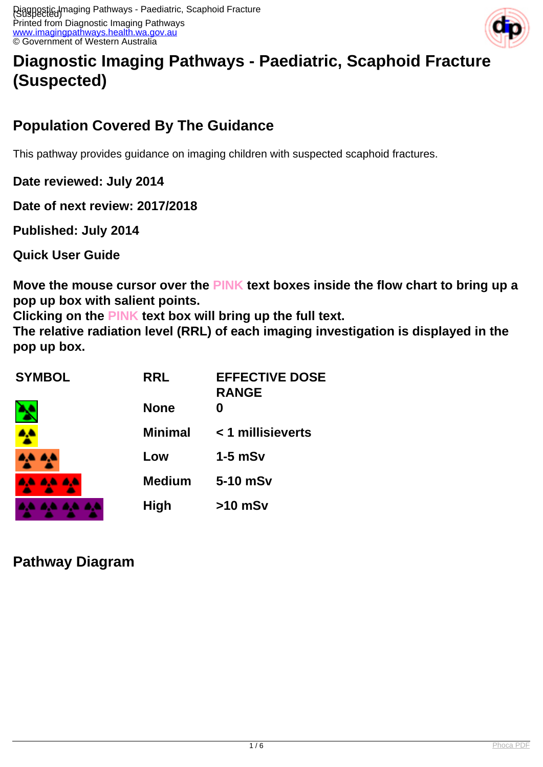

# **Diagnostic Imaging Pathways - Paediatric, Scaphoid Fracture (Suspected)**

# **Population Covered By The Guidance**

This pathway provides guidance on imaging children with suspected scaphoid fractures.

**Date reviewed: July 2014**

**Date of next review: 2017/2018**

**Published: July 2014** 

**Quick User Guide**

**Move the mouse cursor over the PINK text boxes inside the flow chart to bring up a pop up box with salient points.**

**Clicking on the PINK text box will bring up the full text.**

**The relative radiation level (RRL) of each imaging investigation is displayed in the pop up box.**

| <b>SYMBOL</b> | <b>RRL</b>     | <b>EFFECTIVE DOSE</b><br><b>RANGE</b> |
|---------------|----------------|---------------------------------------|
|               | <b>None</b>    |                                       |
|               | <b>Minimal</b> | < 1 millisieverts                     |
|               | Low            | $1-5$ mSv                             |
| .             | <b>Medium</b>  | 5-10 mSv                              |
|               | <b>High</b>    | $>10$ mSv                             |

**Pathway Diagram**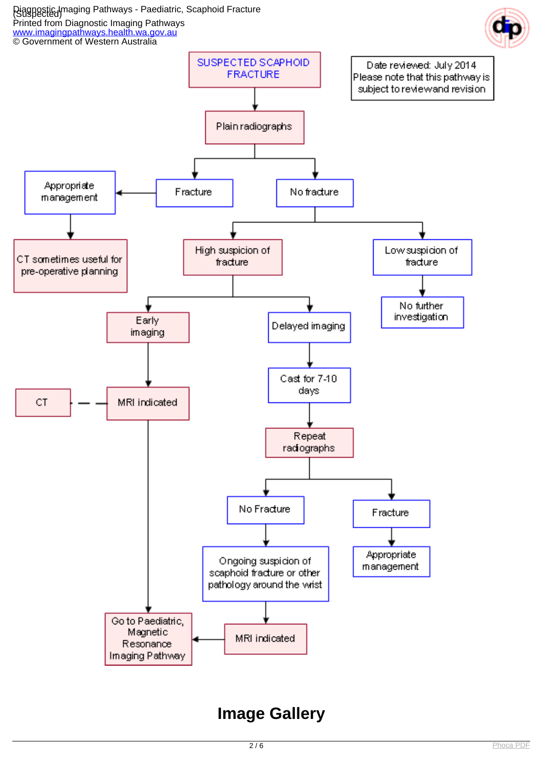

# **Image Gallery**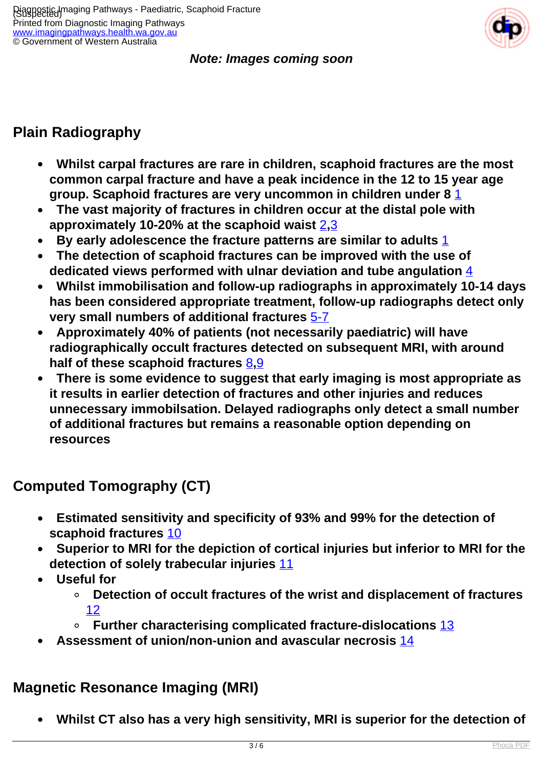#### **Note: Images coming soon**

# **Plain Radiography**

- **Whilst carpal fractures are rare in children, scaphoid fractures are the most common carpal fracture and have a peak incidence in the 12 to 15 year age group. Scaphoid fractures are very uncommon in children under 8** [1](index.php?option=com_content&view=article&id=236&tab=references#1)
- **The vast majority of fractures in children occur at the distal pole with approximately 10-20% at the scaphoid waist** [2](index.php?option=com_content&view=article&id=236&tab=references#2)**,**[3](index.php?option=com_content&view=article&id=236&tab=references#3)
- **By early adolescence the fracture patterns are similar to adults** [1](index.php?option=com_content&view=article&id=236&tab=references#1)
- **The detection of scaphoid fractures can be improved with the use of dedicated views performed with ulnar deviation and tube angulation** [4](index.php?option=com_content&view=article&id=236&tab=references#4)
- **Whilst immobilisation and follow-up radiographs in approximately 10-14 days has been considered appropriate treatment, follow-up radiographs detect only very small numbers of additional fractures** [5-7](index.php?option=com_content&view=article&id=236&tab=references#5)
- **Approximately 40% of patients (not necessarily paediatric) will have radiographically occult fractures detected on subsequent MRI, with around half of these scaphoid fractures** [8](index.php?option=com_content&view=article&id=236&tab=references#8)**,**[9](index.php?option=com_content&view=article&id=236&tab=references#9)
- **There is some evidence to suggest that early imaging is most appropriate as it results in earlier detection of fractures and other injuries and reduces unnecessary immobilsation. Delayed radiographs only detect a small number of additional fractures but remains a reasonable option depending on resources**

## **Computed Tomography (CT)**

- **Estimated sensitivity and specificity of 93% and 99% for the detection of scaphoid fractures** [10](index.php?option=com_content&view=article&id=236&tab=references#10)
- **Superior to MRI for the depiction of cortical injuries but inferior to MRI for the detection of solely trabecular injuries** [11](index.php?option=com_content&view=article&id=236&tab=references#11)
- **Useful for**
	- **Detection of occult fractures of the wrist and displacement of fractures**  [12](index.php?option=com_content&view=article&id=236&tab=references#12)
	- **Further characterising complicated fracture-dislocations** [13](index.php?option=com_content&view=article&id=236&tab=references#13)
- **Assessment of union/non-union and avascular necrosis** [14](index.php?option=com_content&view=article&id=236&tab=references#14)

## **Magnetic Resonance Imaging (MRI)**

 **Whilst CT also has a very high sensitivity, MRI is superior for the detection of**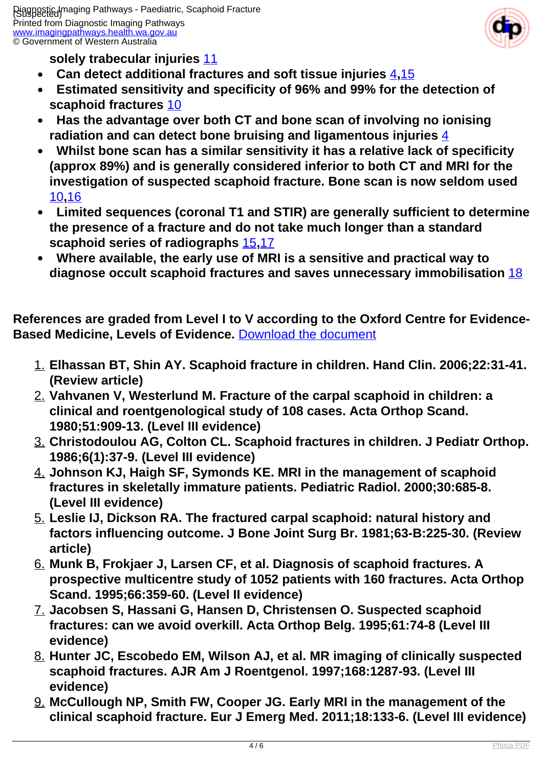Printed from Diagnostic Imaging Pathways [www.imagingpathways.health.wa.gov.au](http://www.imagingpathways.health.wa.gov.au/) © Government of Western Australia



**solely trabecular injuries** [11](index.php?option=com_content&view=article&id=236&tab=references#11)

- **Can detect additional fractures and soft tissue injuries** [4](index.php?option=com_content&view=article&id=236&tab=references#4)**,**[15](index.php?option=com_content&view=article&id=236&tab=references#15)
- **Estimated sensitivity and specificity of 96% and 99% for the detection of scaphoid fractures** [10](index.php?option=com_content&view=article&id=236&tab=references#10)
- **Has the advantage over both CT and bone scan of involving no ionising radiation and can detect bone bruising and ligamentous injuries** [4](index.php?option=com_content&view=article&id=236&tab=references#4)
- **Whilst bone scan has a similar sensitivity it has a relative lack of specificity (approx 89%) and is generally considered inferior to both CT and MRI for the investigation of suspected scaphoid fracture. Bone scan is now seldom used**  [10](index.php?option=com_content&view=article&id=236&tab=references#10)**,**[16](index.php?option=com_content&view=article&id=236&tab=references#16)
- **Limited sequences (coronal T1 and STIR) are generally sufficient to determine the presence of a fracture and do not take much longer than a standard scaphoid series of radiographs** [15](index.php?option=com_content&view=article&id=236&tab=references#15)**,**[17](index.php?option=com_content&view=article&id=236&tab=references#17)
- **Where available, the early use of MRI is a sensitive and practical way to diagnose occult scaphoid fractures and saves unnecessary immobilisation** [18](index.php?option=com_content&view=article&id=236&tab=references#18)

**References are graded from Level I to V according to the Oxford Centre for Evidence-Based Medicine, Levels of Evidence.** [Download the document](http://www.cebm.net/wp-content/uploads/2014/06/CEBM-Levels-of-Evidence-2.1.pdf)

- 1. **Elhassan BT, Shin AY. Scaphoid fracture in children. Hand Clin. 2006;22:31-41. (Review article)**
- 2. **Vahvanen V, Westerlund M. Fracture of the carpal scaphoid in children: a clinical and roentgenological study of 108 cases. Acta Orthop Scand. 1980;51:909-13. (Level III evidence)**
- 3. **Christodoulou AG, Colton CL. Scaphoid fractures in children. J Pediatr Orthop. 1986;6(1):37-9. (Level III evidence)**
- 4. **Johnson KJ, Haigh SF, Symonds KE. MRI in the management of scaphoid fractures in skeletally immature patients. Pediatric Radiol. 2000;30:685-8. (Level III evidence)**
- 5. **Leslie IJ, Dickson RA. The fractured carpal scaphoid: natural history and factors influencing outcome. J Bone Joint Surg Br. 1981;63-B:225-30. (Review article)**
- 6. **Munk B, Frokjaer J, Larsen CF, et al. Diagnosis of scaphoid fractures. A prospective multicentre study of 1052 patients with 160 fractures. Acta Orthop Scand. 1995;66:359-60. (Level II evidence)**
- 7. **Jacobsen S, Hassani G, Hansen D, Christensen O. Suspected scaphoid fractures: can we avoid overkill. Acta Orthop Belg. 1995;61:74-8 (Level III evidence)**
- 8. **Hunter JC, Escobedo EM, Wilson AJ, et al. MR imaging of clinically suspected scaphoid fractures. AJR Am J Roentgenol. 1997;168:1287-93. (Level III evidence)**
- 9. **McCullough NP, Smith FW, Cooper JG. Early MRI in the management of the clinical scaphoid fracture. Eur J Emerg Med. 2011;18:133-6. (Level III evidence)**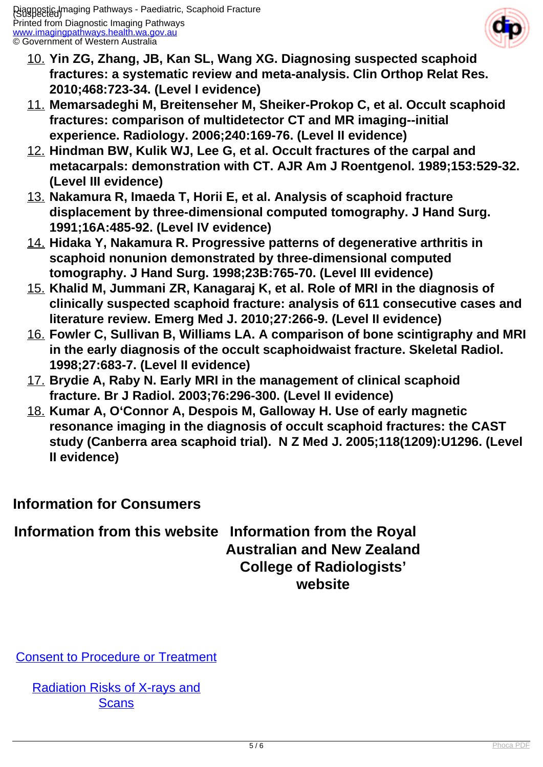

- 10. **Yin ZG, Zhang, JB, Kan SL, Wang XG. Diagnosing suspected scaphoid fractures: a systematic review and meta-analysis. Clin Orthop Relat Res. 2010;468:723-34. (Level I evidence)**
- 11. **Memarsadeghi M, Breitenseher M, Sheiker-Prokop C, et al. Occult scaphoid fractures: comparison of multidetector CT and MR imaging--initial experience. Radiology. 2006;240:169-76. (Level II evidence)**
- 12. **Hindman BW, Kulik WJ, Lee G, et al. Occult fractures of the carpal and metacarpals: demonstration with CT. AJR Am J Roentgenol. 1989;153:529-32. (Level III evidence)**
- 13. **Nakamura R, Imaeda T, Horii E, et al. Analysis of scaphoid fracture displacement by three-dimensional computed tomography. J Hand Surg. 1991;16A:485-92. (Level IV evidence)**
- 14. **Hidaka Y, Nakamura R. Progressive patterns of degenerative arthritis in scaphoid nonunion demonstrated by three-dimensional computed tomography. J Hand Surg. 1998;23B:765-70. (Level III evidence)**
- 15. **Khalid M, Jummani ZR, Kanagaraj K, et al. Role of MRI in the diagnosis of clinically suspected scaphoid fracture: analysis of 611 consecutive cases and literature review. Emerg Med J. 2010;27:266-9. (Level II evidence)**
- 16. **Fowler C, Sullivan B, Williams LA. A comparison of bone scintigraphy and MRI in the early diagnosis of the occult scaphoidwaist fracture. Skeletal Radiol. 1998;27:683-7. (Level II evidence)**
- 17. **Brydie A, Raby N. Early MRI in the management of clinical scaphoid fracture. Br J Radiol. 2003;76:296-300. (Level II evidence)**
- 18. **Kumar A, O'Connor A, Despois M, Galloway H. Use of early magnetic resonance imaging in the diagnosis of occult scaphoid fractures: the CAST study (Canberra area scaphoid trial). N Z Med J. 2005;118(1209):U1296. (Level II evidence)**

#### **Information for Consumers**

#### **Information from this website Information from the Royal Australian and New Zealand College of Radiologists' website**

[Consent to Procedure or Treatment](index.php/consumer-info/general-information-about-diagnostic-imaging/consent-to-procedure-or-treatment)

[Radiation Risks of X-rays and](index.php/consumer-info/general-information-about-diagnostic-imaging/radiation-risks-of-x-rays-and-scans) **[Scans](index.php/consumer-info/general-information-about-diagnostic-imaging/radiation-risks-of-x-rays-and-scans)**